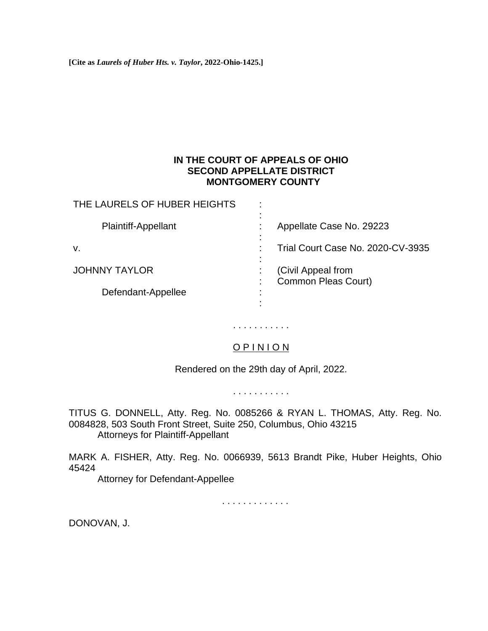**[Cite as** *Laurels of Huber Hts. v. Taylor***, 2022-Ohio-1425.]**

## **IN THE COURT OF APPEALS OF OHIO SECOND APPELLATE DISTRICT MONTGOMERY COUNTY**

| THE LAURELS OF HUBER HEIGHTS | $\cdot$                                   |
|------------------------------|-------------------------------------------|
| <b>Plaintiff-Appellant</b>   | Appellate Case No. 29223                  |
| v.                           | Trial Court Case No. 2020-CV-3935         |
| <b>JOHNNY TAYLOR</b>         | (Civil Appeal from<br>Common Pleas Court) |
| Defendant-Appellee           |                                           |

## O P I N I O N

. . . . . . . . . . .

Rendered on the 29th day of April, 2022.

. . . . . . . . . . .

TITUS G. DONNELL, Atty. Reg. No. 0085266 & RYAN L. THOMAS, Atty. Reg. No. 0084828, 503 South Front Street, Suite 250, Columbus, Ohio 43215 Attorneys for Plaintiff-Appellant

MARK A. FISHER, Atty. Reg. No. 0066939, 5613 Brandt Pike, Huber Heights, Ohio 45424

Attorney for Defendant-Appellee

. . . . . . . . . . . . .

DONOVAN, J.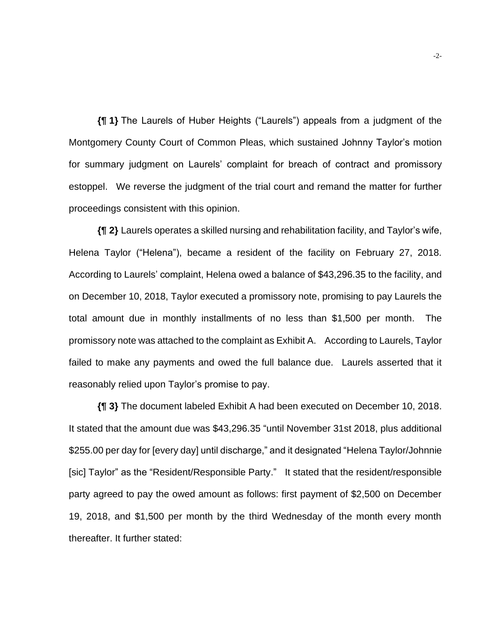**{¶ 1}** The Laurels of Huber Heights ("Laurels") appeals from a judgment of the Montgomery County Court of Common Pleas, which sustained Johnny Taylor's motion for summary judgment on Laurels' complaint for breach of contract and promissory estoppel. We reverse the judgment of the trial court and remand the matter for further proceedings consistent with this opinion.

**{¶ 2}** Laurels operates a skilled nursing and rehabilitation facility, and Taylor's wife, Helena Taylor ("Helena"), became a resident of the facility on February 27, 2018. According to Laurels' complaint, Helena owed a balance of \$43,296.35 to the facility, and on December 10, 2018, Taylor executed a promissory note, promising to pay Laurels the total amount due in monthly installments of no less than \$1,500 per month. The promissory note was attached to the complaint as Exhibit A. According to Laurels, Taylor failed to make any payments and owed the full balance due. Laurels asserted that it reasonably relied upon Taylor's promise to pay.

**{¶ 3}** The document labeled Exhibit A had been executed on December 10, 2018. It stated that the amount due was \$43,296.35 "until November 31st 2018, plus additional \$255.00 per day for [every day] until discharge," and it designated "Helena Taylor/Johnnie [sic] Taylor" as the "Resident/Responsible Party." It stated that the resident/responsible party agreed to pay the owed amount as follows: first payment of \$2,500 on December 19, 2018, and \$1,500 per month by the third Wednesday of the month every month thereafter. It further stated: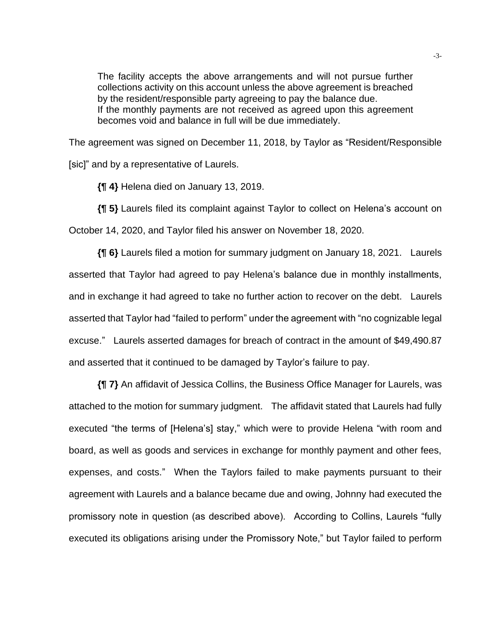The facility accepts the above arrangements and will not pursue further collections activity on this account unless the above agreement is breached by the resident/responsible party agreeing to pay the balance due. If the monthly payments are not received as agreed upon this agreement becomes void and balance in full will be due immediately.

The agreement was signed on December 11, 2018, by Taylor as "Resident/Responsible [sic]" and by a representative of Laurels.

**{¶ 4}** Helena died on January 13, 2019.

**{¶ 5}** Laurels filed its complaint against Taylor to collect on Helena's account on October 14, 2020, and Taylor filed his answer on November 18, 2020.

**{¶ 6}** Laurels filed a motion for summary judgment on January 18, 2021. Laurels asserted that Taylor had agreed to pay Helena's balance due in monthly installments, and in exchange it had agreed to take no further action to recover on the debt. Laurels asserted that Taylor had "failed to perform" under the agreement with "no cognizable legal excuse." Laurels asserted damages for breach of contract in the amount of \$49,490.87 and asserted that it continued to be damaged by Taylor's failure to pay.

**{¶ 7}** An affidavit of Jessica Collins, the Business Office Manager for Laurels, was attached to the motion for summary judgment. The affidavit stated that Laurels had fully executed "the terms of [Helena's] stay," which were to provide Helena "with room and board, as well as goods and services in exchange for monthly payment and other fees, expenses, and costs." When the Taylors failed to make payments pursuant to their agreement with Laurels and a balance became due and owing, Johnny had executed the promissory note in question (as described above). According to Collins, Laurels "fully executed its obligations arising under the Promissory Note," but Taylor failed to perform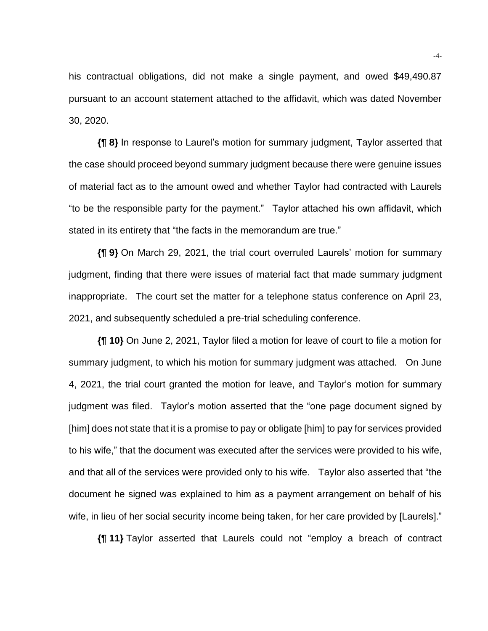his contractual obligations, did not make a single payment, and owed \$49,490.87 pursuant to an account statement attached to the affidavit, which was dated November 30, 2020.

**{¶ 8}** In response to Laurel's motion for summary judgment, Taylor asserted that the case should proceed beyond summary judgment because there were genuine issues of material fact as to the amount owed and whether Taylor had contracted with Laurels "to be the responsible party for the payment." Taylor attached his own affidavit, which stated in its entirety that "the facts in the memorandum are true."

**{¶ 9}** On March 29, 2021, the trial court overruled Laurels' motion for summary judgment, finding that there were issues of material fact that made summary judgment inappropriate. The court set the matter for a telephone status conference on April 23, 2021, and subsequently scheduled a pre-trial scheduling conference.

**{¶ 10}** On June 2, 2021, Taylor filed a motion for leave of court to file a motion for summary judgment, to which his motion for summary judgment was attached. On June 4, 2021, the trial court granted the motion for leave, and Taylor's motion for summary judgment was filed. Taylor's motion asserted that the "one page document signed by [him] does not state that it is a promise to pay or obligate [him] to pay for services provided to his wife," that the document was executed after the services were provided to his wife, and that all of the services were provided only to his wife. Taylor also asserted that "the document he signed was explained to him as a payment arrangement on behalf of his wife, in lieu of her social security income being taken, for her care provided by [Laurels]."

**{¶ 11}** Taylor asserted that Laurels could not "employ a breach of contract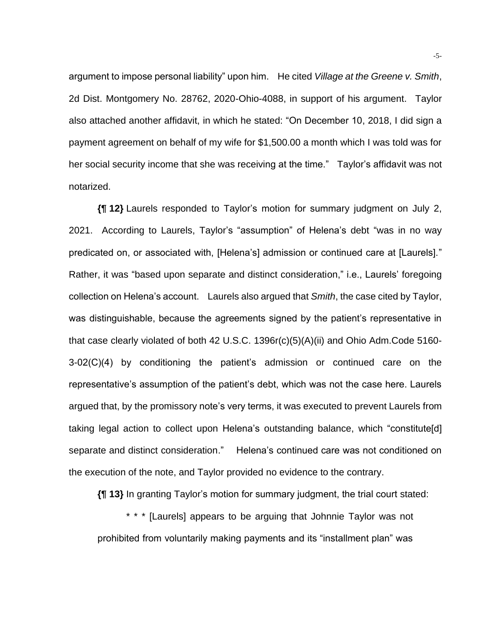argument to impose personal liability" upon him. He cited *Village at the Greene v. Smith*, 2d Dist. Montgomery No. 28762, 2020-Ohio-4088, in support of his argument. Taylor also attached another affidavit, in which he stated: "On December 10, 2018, I did sign a payment agreement on behalf of my wife for \$1,500.00 a month which I was told was for her social security income that she was receiving at the time." Taylor's affidavit was not notarized.

**{¶ 12}** Laurels responded to Taylor's motion for summary judgment on July 2, 2021. According to Laurels, Taylor's "assumption" of Helena's debt "was in no way predicated on, or associated with, [Helena's] admission or continued care at [Laurels]." Rather, it was "based upon separate and distinct consideration," i.e., Laurels' foregoing collection on Helena's account. Laurels also argued that *Smith*, the case cited by Taylor, was distinguishable, because the agreements signed by the patient's representative in that case clearly violated of both 42 U.S.C. 1396r(c)(5)(A)(ii) and Ohio Adm.Code 5160- 3-02(C)(4) by conditioning the patient's admission or continued care on the representative's assumption of the patient's debt, which was not the case here. Laurels argued that, by the promissory note's very terms, it was executed to prevent Laurels from taking legal action to collect upon Helena's outstanding balance, which "constitute[d] separate and distinct consideration." Helena's continued care was not conditioned on the execution of the note, and Taylor provided no evidence to the contrary.

**{¶ 13}** In granting Taylor's motion for summary judgment, the trial court stated:

\* \* \* [Laurels] appears to be arguing that Johnnie Taylor was not prohibited from voluntarily making payments and its "installment plan" was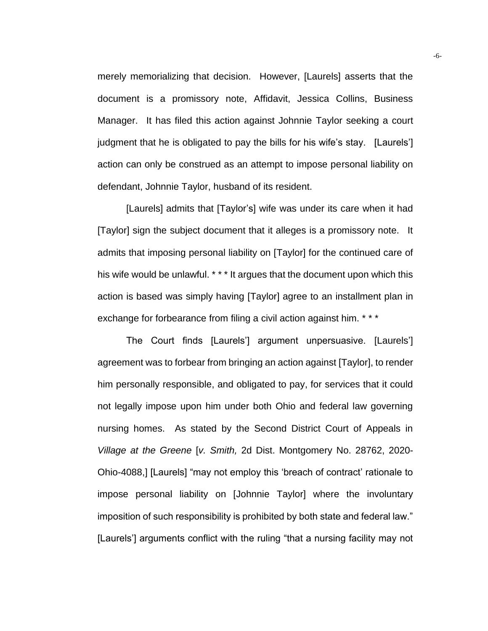merely memorializing that decision. However, [Laurels] asserts that the document is a promissory note, Affidavit, Jessica Collins, Business Manager. It has filed this action against Johnnie Taylor seeking a court judgment that he is obligated to pay the bills for his wife's stay. [Laurels'] action can only be construed as an attempt to impose personal liability on defendant, Johnnie Taylor, husband of its resident.

[Laurels] admits that [Taylor's] wife was under its care when it had [Taylor] sign the subject document that it alleges is a promissory note. It admits that imposing personal liability on [Taylor] for the continued care of his wife would be unlawful. \* \* \* It argues that the document upon which this action is based was simply having [Taylor] agree to an installment plan in exchange for forbearance from filing a civil action against him. \*\*\*

The Court finds [Laurels'] argument unpersuasive. [Laurels'] agreement was to forbear from bringing an action against [Taylor], to render him personally responsible, and obligated to pay, for services that it could not legally impose upon him under both Ohio and federal law governing nursing homes. As stated by the Second District Court of Appeals in *Village at the Greene* [*v. Smith,* 2d Dist. Montgomery No. 28762, 2020- Ohio-4088,] [Laurels] "may not employ this 'breach of contract' rationale to impose personal liability on [Johnnie Taylor] where the involuntary imposition of such responsibility is prohibited by both state and federal law." [Laurels'] arguments conflict with the ruling "that a nursing facility may not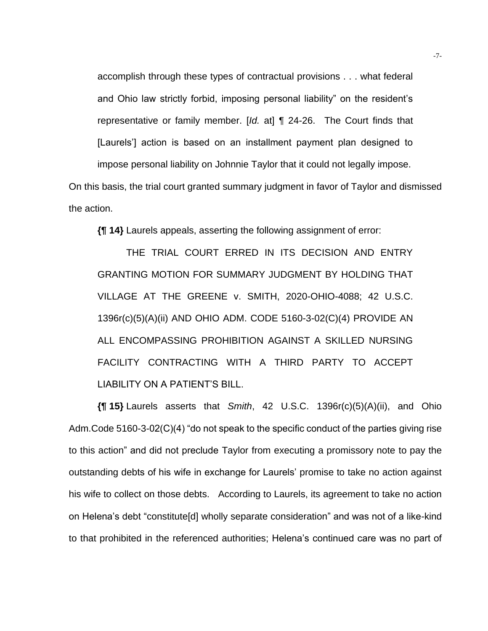accomplish through these types of contractual provisions . . . what federal and Ohio law strictly forbid, imposing personal liability" on the resident's representative or family member. [*Id.* at] ¶ 24-26. The Court finds that [Laurels'] action is based on an installment payment plan designed to impose personal liability on Johnnie Taylor that it could not legally impose.

On this basis, the trial court granted summary judgment in favor of Taylor and dismissed the action.

**{¶ 14}** Laurels appeals, asserting the following assignment of error:

THE TRIAL COURT ERRED IN ITS DECISION AND ENTRY GRANTING MOTION FOR SUMMARY JUDGMENT BY HOLDING THAT VILLAGE AT THE GREENE v. SMITH, 2020-OHIO-4088; 42 U.S.C. 1396r(c)(5)(A)(ii) AND OHIO ADM. CODE 5160-3-02(C)(4) PROVIDE AN ALL ENCOMPASSING PROHIBITION AGAINST A SKILLED NURSING FACILITY CONTRACTING WITH A THIRD PARTY TO ACCEPT LIABILITY ON A PATIENT'S BILL.

**{¶ 15}** Laurels asserts that *Smith*, 42 U.S.C. 1396r(c)(5)(A)(ii), and Ohio Adm.Code 5160-3-02(C)(4) "do not speak to the specific conduct of the parties giving rise to this action" and did not preclude Taylor from executing a promissory note to pay the outstanding debts of his wife in exchange for Laurels' promise to take no action against his wife to collect on those debts. According to Laurels, its agreement to take no action on Helena's debt "constitute[d] wholly separate consideration" and was not of a like-kind to that prohibited in the referenced authorities; Helena's continued care was no part of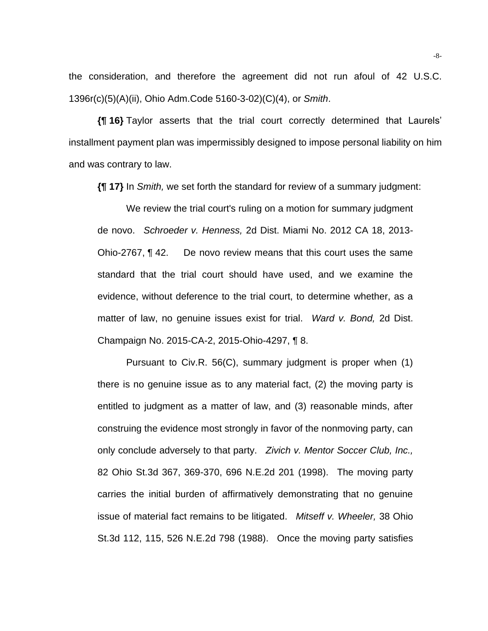the consideration, and therefore the agreement did not run afoul of 42 U.S.C. 1396r(c)(5)(A)(ii), Ohio Adm.Code 5160-3-02)(C)(4), or *Smith*.

**{¶ 16}** Taylor asserts that the trial court correctly determined that Laurels' installment payment plan was impermissibly designed to impose personal liability on him and was contrary to law.

**{¶ 17}** In *Smith,* we set forth the standard for review of a summary judgment:

We review the trial court's ruling on a motion for summary judgment de novo. *Schroeder v. Henness,* 2d Dist. Miami No. 2012 CA 18, 2013- Ohio-2767, ¶ 42. De novo review means that this court uses the same standard that the trial court should have used, and we examine the evidence, without deference to the trial court, to determine whether, as a matter of law, no genuine issues exist for trial. *Ward v. Bond,* 2d Dist. Champaign No. 2015-CA-2, 2015-Ohio-4297, ¶ 8.

Pursuant to Civ.R. 56(C), summary judgment is proper when (1) there is no genuine issue as to any material fact, (2) the moving party is entitled to judgment as a matter of law, and (3) reasonable minds, after construing the evidence most strongly in favor of the nonmoving party, can only conclude adversely to that party. *Zivich v. Mentor Soccer Club, Inc.,* 82 Ohio St.3d 367, 369-370, 696 N.E.2d 201 (1998). The moving party carries the initial burden of affirmatively demonstrating that no genuine issue of material fact remains to be litigated. *Mitseff v. Wheeler,* 38 Ohio St.3d 112, 115, 526 N.E.2d 798 (1988). Once the moving party satisfies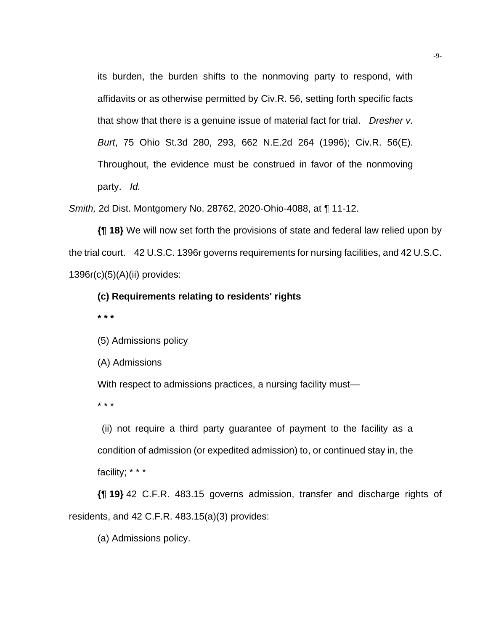its burden, the burden shifts to the nonmoving party to respond, with affidavits or as otherwise permitted by Civ.R. 56, setting forth specific facts that show that there is a genuine issue of material fact for trial. *Dresher v. Burt*, 75 Ohio St.3d 280, 293, 662 N.E.2d 264 (1996); Civ.R. 56(E). Throughout, the evidence must be construed in favor of the nonmoving party. *Id.*

*Smith,* 2d Dist. Montgomery No. 28762, 2020-Ohio-4088, at ¶ 11-12.

**{¶ 18}** We will now set forth the provisions of state and federal law relied upon by the trial court. 42 U.S.C. 1396r governs requirements for nursing facilities, and 42 U.S.C. 1396r(c)(5)(A)(ii) provides:

## **(c) Requirements relating to residents' rights**

**\* \* \***

(5) Admissions policy

(A) Admissions

With respect to admissions practices, a nursing facility must—

\* \* \*

(ii) not require a third party guarantee of payment to the facility as a condition of admission (or expedited admission) to, or continued stay in, the facility; \* \* \*

**{¶ 19}** 42 C.F.R. 483.15 governs admission, transfer and discharge rights of residents, and 42 C.F.R. 483.15(a)(3) provides:

(a) Admissions policy.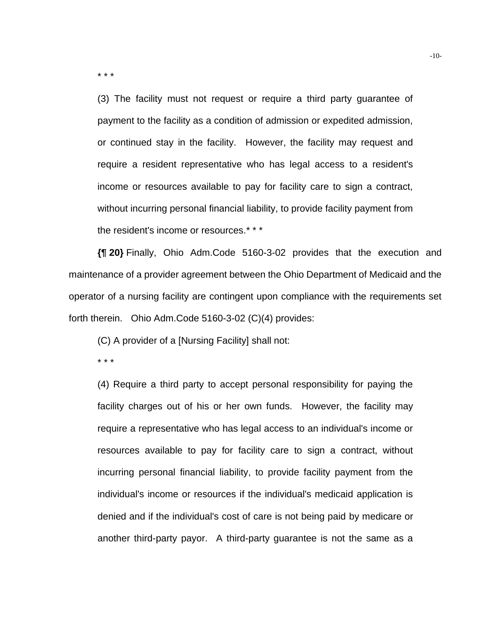\* \* \*

(3) The facility must not request or require a third party guarantee of payment to the facility as a condition of admission or expedited admission, or continued stay in the facility. However, the facility may request and require a resident representative who has legal access to a resident's income or resources available to pay for facility care to sign a contract, without incurring personal financial liability, to provide facility payment from the resident's income or resources.\* \* \*

**{¶ 20}** Finally, Ohio Adm.Code 5160-3-02 provides that the execution and maintenance of a provider agreement between the Ohio Department of Medicaid and the operator of a nursing facility are contingent upon compliance with the requirements set forth therein. Ohio Adm.Code 5160-3-02 (C)(4) provides:

(C) A provider of a [Nursing Facility] shall not:

\* \* \*

(4) Require a third party to accept personal responsibility for paying the facility charges out of his or her own funds. However, the facility may require a representative who has legal access to an individual's income or resources available to pay for facility care to sign a contract, without incurring personal financial liability, to provide facility payment from the individual's income or resources if the individual's medicaid application is denied and if the individual's cost of care is not being paid by medicare or another third-party payor. A third-party guarantee is not the same as a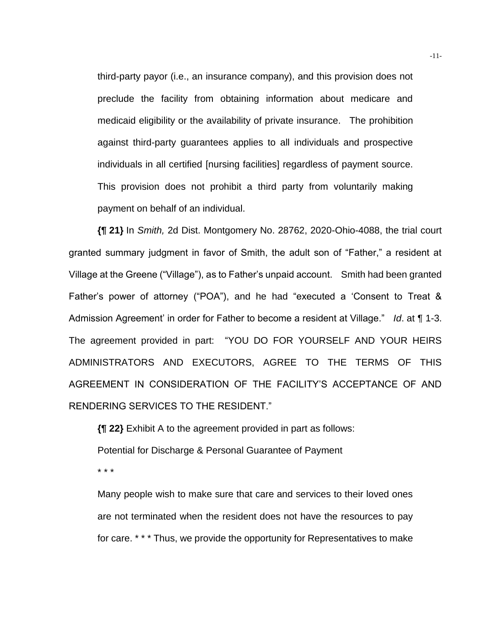third-party payor (i.e., an insurance company), and this provision does not preclude the facility from obtaining information about medicare and medicaid eligibility or the availability of private insurance. The prohibition against third-party guarantees applies to all individuals and prospective individuals in all certified [nursing facilities] regardless of payment source. This provision does not prohibit a third party from voluntarily making payment on behalf of an individual.

**{¶ 21}** In *Smith,* 2d Dist. Montgomery No. 28762, 2020-Ohio-4088, the trial court granted summary judgment in favor of Smith, the adult son of "Father," a resident at Village at the Greene ("Village"), as to Father's unpaid account. Smith had been granted Father's power of attorney ("POA"), and he had "executed a 'Consent to Treat & Admission Agreement' in order for Father to become a resident at Village." *Id*. at ¶ 1-3. The agreement provided in part: "YOU DO FOR YOURSELF AND YOUR HEIRS ADMINISTRATORS AND EXECUTORS, AGREE TO THE TERMS OF THIS AGREEMENT IN CONSIDERATION OF THE FACILITY'S ACCEPTANCE OF AND RENDERING SERVICES TO THE RESIDENT."

**{¶ 22}** Exhibit A to the agreement provided in part as follows: Potential for Discharge & Personal Guarantee of Payment \* \* \*

Many people wish to make sure that care and services to their loved ones are not terminated when the resident does not have the resources to pay for care. \* \* \* Thus, we provide the opportunity for Representatives to make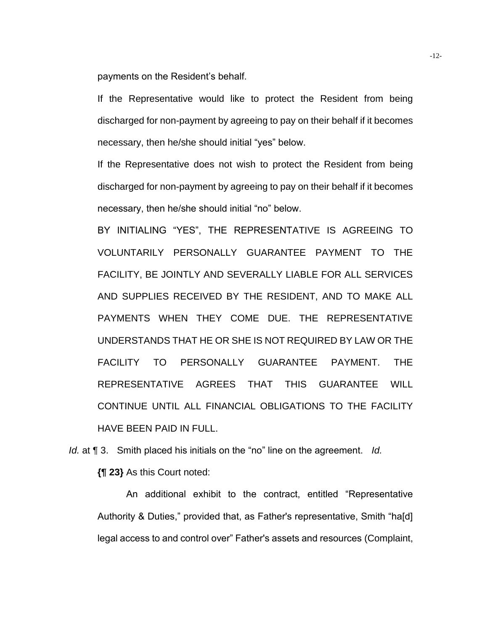payments on the Resident's behalf.

If the Representative would like to protect the Resident from being discharged for non-payment by agreeing to pay on their behalf if it becomes necessary, then he/she should initial "yes" below.

If the Representative does not wish to protect the Resident from being discharged for non-payment by agreeing to pay on their behalf if it becomes necessary, then he/she should initial "no" below.

BY INITIALING "YES", THE REPRESENTATIVE IS AGREEING TO VOLUNTARILY PERSONALLY GUARANTEE PAYMENT TO THE FACILITY, BE JOINTLY AND SEVERALLY LIABLE FOR ALL SERVICES AND SUPPLIES RECEIVED BY THE RESIDENT, AND TO MAKE ALL PAYMENTS WHEN THEY COME DUE. THE REPRESENTATIVE UNDERSTANDS THAT HE OR SHE IS NOT REQUIRED BY LAW OR THE FACILITY TO PERSONALLY GUARANTEE PAYMENT. THE REPRESENTATIVE AGREES THAT THIS GUARANTEE WILL CONTINUE UNTIL ALL FINANCIAL OBLIGATIONS TO THE FACILITY HAVE BEEN PAID IN FULL.

*Id.* at ¶ 3. Smith placed his initials on the "no" line on the agreement. *Id.*

**{¶ 23}** As this Court noted:

An additional exhibit to the contract, entitled "Representative Authority & Duties," provided that, as Father's representative, Smith "ha[d] legal access to and control over" Father's assets and resources (Complaint,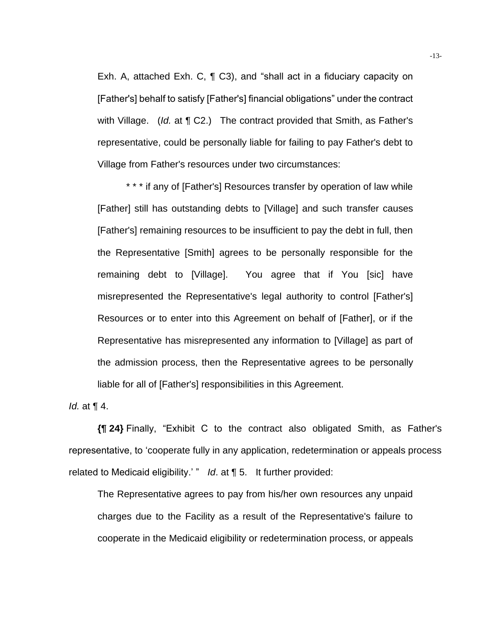Exh. A, attached Exh. C, ¶ C3), and "shall act in a fiduciary capacity on [Father's] behalf to satisfy [Father's] financial obligations" under the contract with Village. (*Id.* at ¶ C2.) The contract provided that Smith, as Father's representative, could be personally liable for failing to pay Father's debt to Village from Father's resources under two circumstances:

\* \* \* if any of [Father's] Resources transfer by operation of law while [Father] still has outstanding debts to [Village] and such transfer causes [Father's] remaining resources to be insufficient to pay the debt in full, then the Representative [Smith] agrees to be personally responsible for the remaining debt to [Village]. You agree that if You [sic] have misrepresented the Representative's legal authority to control [Father's] Resources or to enter into this Agreement on behalf of [Father], or if the Representative has misrepresented any information to [Village] as part of the admission process, then the Representative agrees to be personally liable for all of [Father's] responsibilities in this Agreement.

*Id.* at ¶ 4.

**{¶ 24}** Finally, "Exhibit C to the contract also obligated Smith, as Father's representative, to 'cooperate fully in any application, redetermination or appeals process related to Medicaid eligibility.' " *Id*. at ¶ 5. It further provided:

The Representative agrees to pay from his/her own resources any unpaid charges due to the Facility as a result of the Representative's failure to cooperate in the Medicaid eligibility or redetermination process, or appeals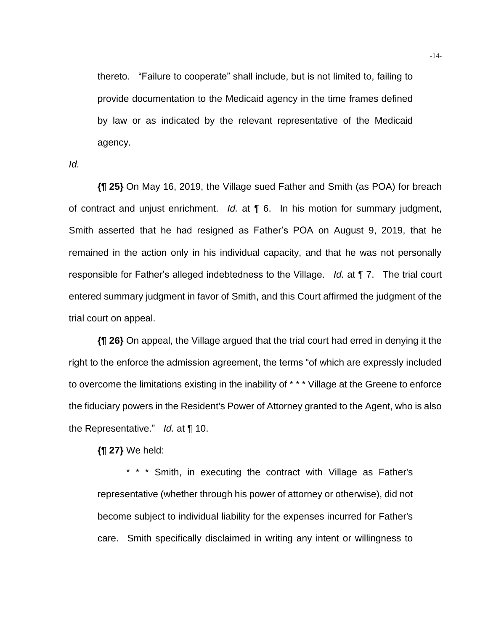thereto. "Failure to cooperate" shall include, but is not limited to, failing to provide documentation to the Medicaid agency in the time frames defined by law or as indicated by the relevant representative of the Medicaid agency.

*Id.*

**{¶ 25}** On May 16, 2019, the Village sued Father and Smith (as POA) for breach of contract and unjust enrichment. *Id.* at ¶ 6. In his motion for summary judgment, Smith asserted that he had resigned as Father's POA on August 9, 2019, that he remained in the action only in his individual capacity, and that he was not personally responsible for Father's alleged indebtedness to the Village. *Id.* at ¶ 7. The trial court entered summary judgment in favor of Smith, and this Court affirmed the judgment of the trial court on appeal.

**{¶ 26}** On appeal, the Village argued that the trial court had erred in denying it the right to the enforce the admission agreement, the terms "of which are expressly included to overcome the limitations existing in the inability of \* \* \* Village at the Greene to enforce the fiduciary powers in the Resident's Power of Attorney granted to the Agent, who is also the Representative." *Id.* at ¶ 10.

**{¶ 27}** We held:

\* \* \* Smith, in executing the contract with Village as Father's representative (whether through his power of attorney or otherwise), did not become subject to individual liability for the expenses incurred for Father's care. Smith specifically disclaimed in writing any intent or willingness to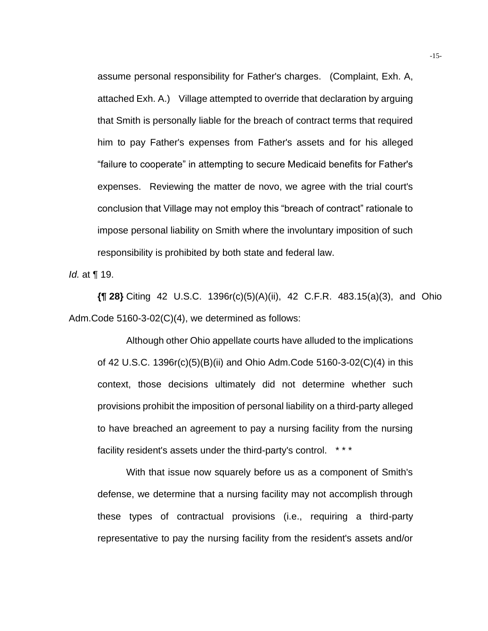assume personal responsibility for Father's charges. (Complaint, Exh. A, attached Exh. A.) Village attempted to override that declaration by arguing that Smith is personally liable for the breach of contract terms that required him to pay Father's expenses from Father's assets and for his alleged "failure to cooperate" in attempting to secure Medicaid benefits for Father's expenses. Reviewing the matter de novo, we agree with the trial court's conclusion that Village may not employ this "breach of contract" rationale to impose personal liability on Smith where the involuntary imposition of such responsibility is prohibited by both state and federal law.

*Id.* at ¶ 19.

**{¶ 28}** Citing 42 U.S.C. 1396r(c)(5)(A)(ii), 42 C.F.R. 483.15(a)(3), and Ohio Adm.Code 5160-3-02(C)(4), we determined as follows:

Although other Ohio appellate courts have alluded to the implications of 42 U.S.C. 1396r(c)(5)(B)(ii) and Ohio Adm.Code 5160-3-02(C)(4) in this context, those decisions ultimately did not determine whether such provisions prohibit the imposition of personal liability on a third-party alleged to have breached an agreement to pay a nursing facility from the nursing facility resident's assets under the third-party's control. \* \* \*

With that issue now squarely before us as a component of Smith's defense, we determine that a nursing facility may not accomplish through these types of contractual provisions (i.e., requiring a third-party representative to pay the nursing facility from the resident's assets and/or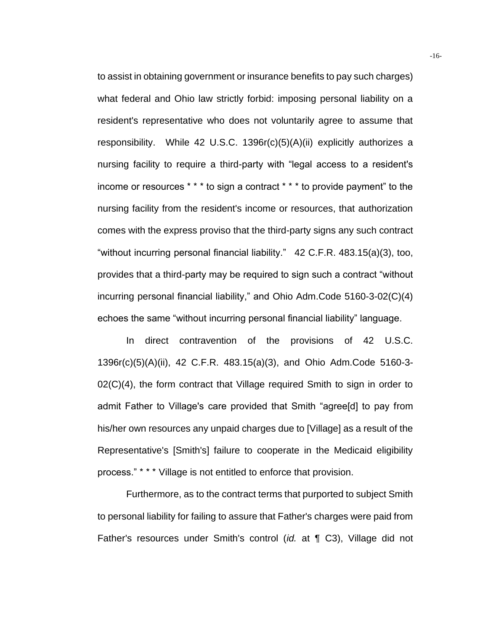to assist in obtaining government or insurance benefits to pay such charges) what federal and Ohio law strictly forbid: imposing personal liability on a resident's representative who does not voluntarily agree to assume that responsibility. While 42 U.S.C. 1396r(c)(5)(A)(ii) explicitly authorizes a nursing facility to require a third-party with "legal access to a resident's income or resources \* \* \* to sign a contract \* \* \* to provide payment" to the nursing facility from the resident's income or resources, that authorization comes with the express proviso that the third-party signs any such contract "without incurring personal financial liability." 42 C.F.R. 483.15(a)(3), too, provides that a third-party may be required to sign such a contract "without incurring personal financial liability," and Ohio Adm.Code 5160-3-02(C)(4) echoes the same "without incurring personal financial liability" language.

In direct contravention of the provisions of 42 U.S.C. 1396r(c)(5)(A)(ii), 42 C.F.R. 483.15(a)(3), and Ohio Adm.Code 5160-3-  $02(C)(4)$ , the form contract that Village required Smith to sign in order to admit Father to Village's care provided that Smith "agree[d] to pay from his/her own resources any unpaid charges due to [Village] as a result of the Representative's [Smith's] failure to cooperate in the Medicaid eligibility process." \* \* \* Village is not entitled to enforce that provision.

Furthermore, as to the contract terms that purported to subject Smith to personal liability for failing to assure that Father's charges were paid from Father's resources under Smith's control (*id.* at ¶ C3), Village did not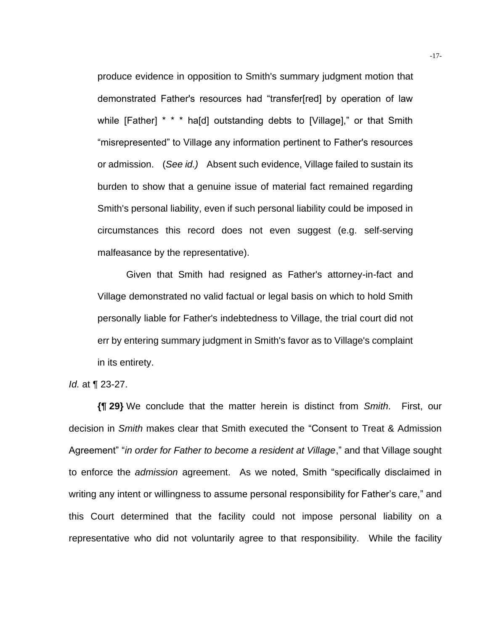produce evidence in opposition to Smith's summary judgment motion that demonstrated Father's resources had "transfer[red] by operation of law while [Father] \* \* \* ha[d] outstanding debts to [Village]," or that Smith "misrepresented" to Village any information pertinent to Father's resources or admission. (*See id.)* Absent such evidence, Village failed to sustain its burden to show that a genuine issue of material fact remained regarding Smith's personal liability, even if such personal liability could be imposed in circumstances this record does not even suggest (e.g. self-serving malfeasance by the representative).

Given that Smith had resigned as Father's attorney-in-fact and Village demonstrated no valid factual or legal basis on which to hold Smith personally liable for Father's indebtedness to Village, the trial court did not err by entering summary judgment in Smith's favor as to Village's complaint in its entirety.

*Id.* at ¶ 23-27.

**{¶ 29}** We conclude that the matter herein is distinct from *Smith*. First, our decision in *Smith* makes clear that Smith executed the "Consent to Treat & Admission Agreement" "*in order for Father to become a resident at Village*," and that Village sought to enforce the *admission* agreement. As we noted, Smith "specifically disclaimed in writing any intent or willingness to assume personal responsibility for Father's care," and this Court determined that the facility could not impose personal liability on a representative who did not voluntarily agree to that responsibility. While the facility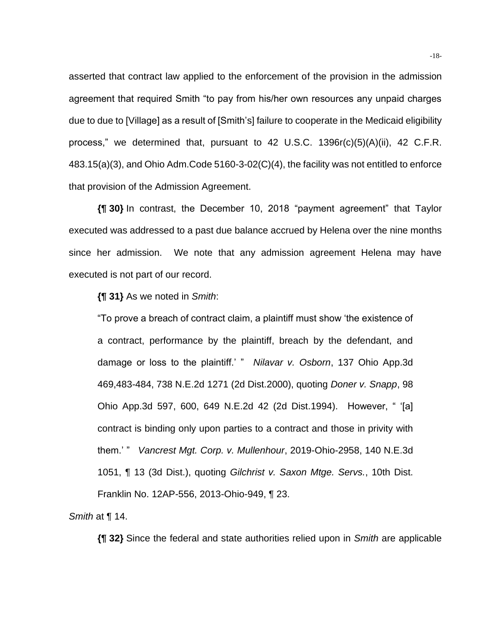asserted that contract law applied to the enforcement of the provision in the admission agreement that required Smith "to pay from his/her own resources any unpaid charges due to due to [Village] as a result of [Smith's] failure to cooperate in the Medicaid eligibility process," we determined that, pursuant to 42 U.S.C. 1396r(c)(5)(A)(ii), 42 C.F.R. 483.15(a)(3), and Ohio Adm.Code 5160-3-02(C)(4), the facility was not entitled to enforce that provision of the Admission Agreement.

**{¶ 30}** In contrast, the December 10, 2018 "payment agreement" that Taylor executed was addressed to a past due balance accrued by Helena over the nine months since her admission. We note that any admission agreement Helena may have executed is not part of our record.

**{¶ 31}** As we noted in *Smith*:

"To prove a breach of contract claim, a plaintiff must show 'the existence of a contract, performance by the plaintiff, breach by the defendant, and damage or loss to the plaintiff.' " *Nilavar v. Osborn*, 137 Ohio App.3d 469,483-484, 738 N.E.2d 1271 (2d Dist.2000), quoting *Doner v. Snapp*, 98 Ohio App.3d 597, 600, 649 N.E.2d 42 (2d Dist.1994). However, " '[a] contract is binding only upon parties to a contract and those in privity with them.' " *Vancrest Mgt. Corp. v. Mullenhour*, 2019-Ohio-2958, 140 N.E.3d 1051, ¶ 13 (3d Dist.), quoting *Gilchrist v. Saxon Mtge. Servs.*, 10th Dist. Franklin No. 12AP-556, 2013-Ohio-949, ¶ 23.

*Smith* at ¶ 14.

**{¶ 32}** Since the federal and state authorities relied upon in *Smith* are applicable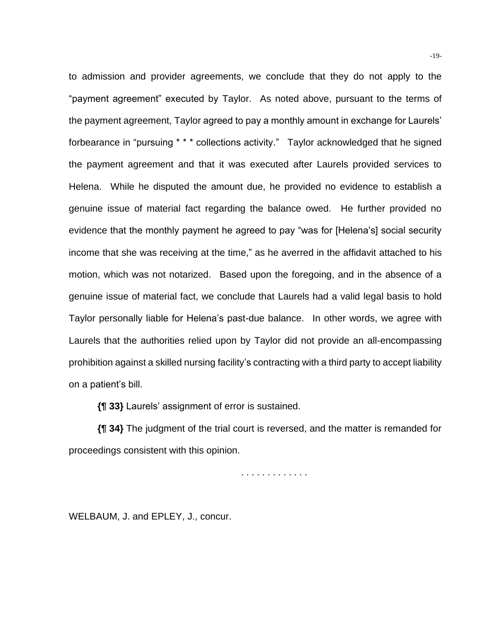to admission and provider agreements, we conclude that they do not apply to the "payment agreement" executed by Taylor. As noted above, pursuant to the terms of the payment agreement, Taylor agreed to pay a monthly amount in exchange for Laurels' forbearance in "pursuing \* \* \* collections activity." Taylor acknowledged that he signed the payment agreement and that it was executed after Laurels provided services to Helena. While he disputed the amount due, he provided no evidence to establish a genuine issue of material fact regarding the balance owed. He further provided no evidence that the monthly payment he agreed to pay "was for [Helena's] social security income that she was receiving at the time," as he averred in the affidavit attached to his motion, which was not notarized. Based upon the foregoing, and in the absence of a genuine issue of material fact, we conclude that Laurels had a valid legal basis to hold Taylor personally liable for Helena's past-due balance. In other words, we agree with Laurels that the authorities relied upon by Taylor did not provide an all-encompassing prohibition against a skilled nursing facility's contracting with a third party to accept liability on a patient's bill.

**{¶ 33}** Laurels' assignment of error is sustained.

**{¶ 34}** The judgment of the trial court is reversed, and the matter is remanded for proceedings consistent with this opinion.

. . . . . . . . . . . . .

WELBAUM, J. and EPLEY, J., concur.